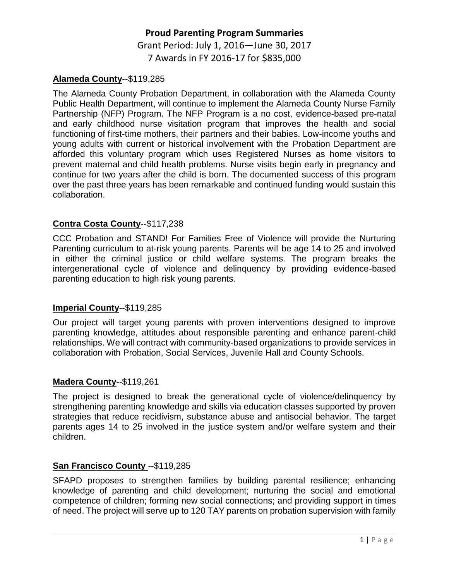# **Proud Parenting Program Summaries** Grant Period: July 1, 2016—June 30, 2017 7 Awards in FY 2016-17 for \$835,000

#### **Alameda County**--\$119,285

The Alameda County Probation Department, in collaboration with the Alameda County Public Health Department, will continue to implement the Alameda County Nurse Family Partnership (NFP) Program. The NFP Program is a no cost, evidence-based pre-natal and early childhood nurse visitation program that improves the health and social functioning of first-time mothers, their partners and their babies. Low-income youths and young adults with current or historical involvement with the Probation Department are afforded this voluntary program which uses Registered Nurses as home visitors to prevent maternal and child health problems. Nurse visits begin early in pregnancy and continue for two years after the child is born. The documented success of this program over the past three years has been remarkable and continued funding would sustain this collaboration.

## **Contra Costa County**--\$117,238

CCC Probation and STAND! For Families Free of Violence will provide the Nurturing Parenting curriculum to at-risk young parents. Parents will be age 14 to 25 and involved in either the criminal justice or child welfare systems. The program breaks the intergenerational cycle of violence and delinquency by providing evidence-based parenting education to high risk young parents.

#### **Imperial County**--\$119,285

Our project will target young parents with proven interventions designed to improve parenting knowledge, attitudes about responsible parenting and enhance parent-child relationships. We will contract with community-based organizations to provide services in collaboration with Probation, Social Services, Juvenile Hall and County Schools.

#### **Madera County**--\$119,261

The project is designed to break the generational cycle of violence/delinquency by strengthening parenting knowledge and skills via education classes supported by proven strategies that reduce recidivism, substance abuse and antisocial behavior. The target parents ages 14 to 25 involved in the justice system and/or welfare system and their children.

#### **San Francisco County** --\$119,285

SFAPD proposes to strengthen families by building parental resilience; enhancing knowledge of parenting and child development; nurturing the social and emotional competence of children; forming new social connections; and providing support in times of need. The project will serve up to 120 TAY parents on probation supervision with family